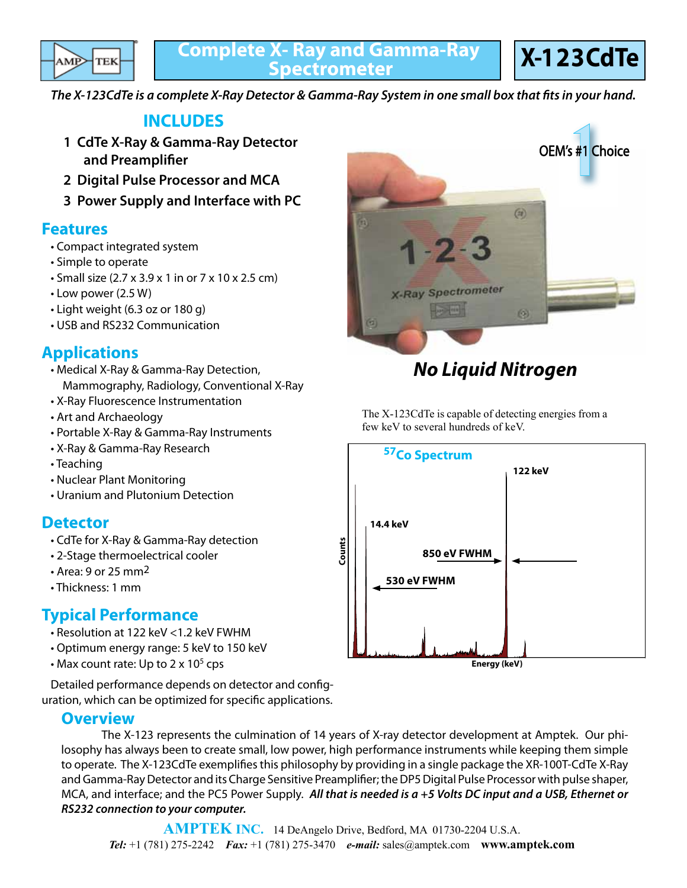

**X-123CdTe**

*The X-123CdTe is a complete X-Ray Detector & Gamma-Ray System in one small box that fits in your hand.*

## **INCLUDES**

- **1 CdTe X-Ray & Gamma-Ray Detector and Preamplifier**
- **2 Digital Pulse Processor and MCA**
- **3 Power Supply and Interface with PC**

### **Features**

- Compact integrated system
- Simple to operate
- Small size (2.7 x 3.9 x 1 in or 7 x 10 x 2.5 cm)
- Low power (2.5 W)
- Light weight (6.3 oz or 180 g)
- USB and RS232 Communication

## **Applications**

- Medical X-Ray & Gamma-Ray Detection, Mammography, Radiology, Conventional X-Ray
- X-Ray Fluorescence Instrumentation
- Art and Archaeology
- Portable X-Ray & Gamma-Ray Instruments
- X-Ray & Gamma-Ray Research
- Teaching
- Nuclear Plant Monitoring
- Uranium and Plutonium Detection

## **Detector**

- CdTe for X-Ray & Gamma-Ray detection
- 2-Stage thermoelectrical cooler
- Area: 9 or 25 mm2
- Thickness: 1 mm

## **Typical Performance**

- Resolution at 122 keV <1.2 keV FWHM
- Optimum energy range: 5 keV to 150 keV
- Max count rate: Up to  $2 \times 10^5$  cps

 Detailed performance depends on detector and configuration, which can be optimized for specific applications.

### **Overview**

 The X-123 represents the culmination of 14 years of X-ray detector development at Amptek. Our philosophy has always been to create small, low power, high performance instruments while keeping them simple to operate. The X-123CdTe exemplifies this philosophy by providing in a single package the XR-100T-CdTe X-Ray and Gamma-Ray Detector and its Charge Sensitive Preamplifier; the DP5 Digital Pulse Processor with pulse shaper, MCA, and interface; and the PC5 Power Supply. *All that is needed is a +5 Volts DC input and a USB, Ethernet or RS232 connection to your computer.*



# *No Liquid Nitrogen*

The X-123CdTe is capable of detecting energies from a few keV to several hundreds of keV.

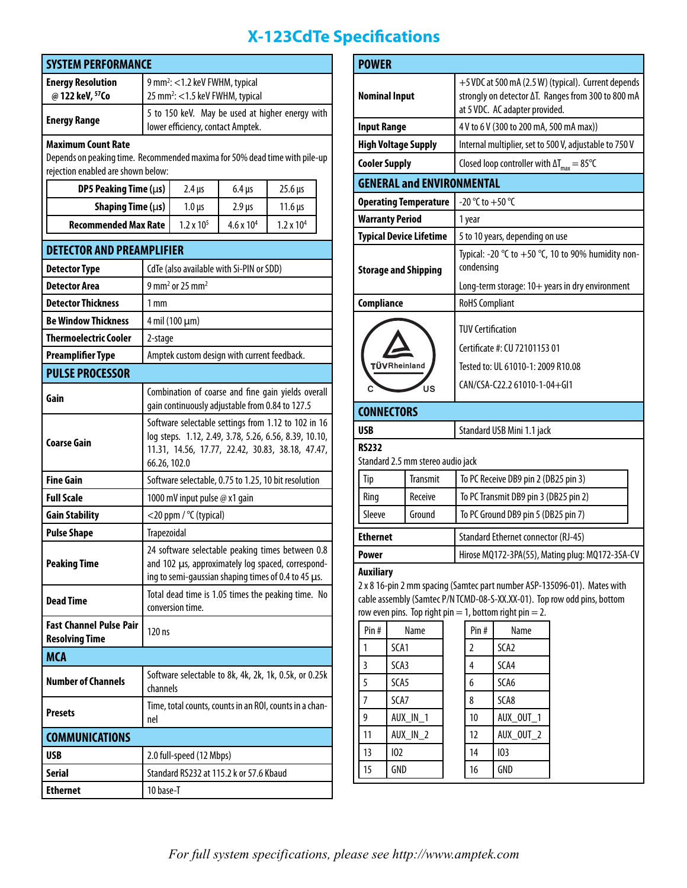# **X-123CdTe Specifications**

| <b>SYSTEM PERFORMANCE</b>                                                                                        |                                                                                                                                                                                  |                                      |                                      |                     |  |  |  |  |  |  |  |  |
|------------------------------------------------------------------------------------------------------------------|----------------------------------------------------------------------------------------------------------------------------------------------------------------------------------|--------------------------------------|--------------------------------------|---------------------|--|--|--|--|--|--|--|--|
| <b>Energy Resolution</b>                                                                                         | 9 mm <sup>2</sup> : <1.2 keV FWHM, typical                                                                                                                                       |                                      |                                      |                     |  |  |  |  |  |  |  |  |
| @ 122 keV, 57Co                                                                                                  | 25 mm <sup>2</sup> : <1.5 keV FWHM, typical                                                                                                                                      |                                      |                                      |                     |  |  |  |  |  |  |  |  |
| <b>Energy Range</b>                                                                                              | 5 to 150 keV. May be used at higher energy with<br>lower efficiency, contact Amptek.                                                                                             |                                      |                                      |                     |  |  |  |  |  |  |  |  |
| <b>Maximum Count Rate</b>                                                                                        |                                                                                                                                                                                  |                                      |                                      |                     |  |  |  |  |  |  |  |  |
| Depends on peaking time. Recommended maxima for 50% dead time with pile-up<br>rejection enabled are shown below: |                                                                                                                                                                                  |                                      |                                      |                     |  |  |  |  |  |  |  |  |
| DP5 Peaking Time (µs)                                                                                            | $2.4 \,\mu s$<br>$6.4 \,\mu s$<br>$25.6 \,\mu s$                                                                                                                                 |                                      |                                      |                     |  |  |  |  |  |  |  |  |
| Shaping Time $(\mu s)$                                                                                           |                                                                                                                                                                                  |                                      |                                      | $11.6 \,\mu s$      |  |  |  |  |  |  |  |  |
| <b>Recommended Max Rate</b>                                                                                      |                                                                                                                                                                                  | $1.0 \,\mu s$<br>$1.2 \times 10^{5}$ | $2.9 \,\mu s$<br>$4.6 \times 10^{4}$ | $1.2 \times 10^{4}$ |  |  |  |  |  |  |  |  |
|                                                                                                                  |                                                                                                                                                                                  |                                      |                                      |                     |  |  |  |  |  |  |  |  |
| <b>DETECTOR AND PREAMPLIFIER</b>                                                                                 |                                                                                                                                                                                  |                                      |                                      |                     |  |  |  |  |  |  |  |  |
| <b>Detector Type</b>                                                                                             | CdTe (also available with Si-PIN or SDD)                                                                                                                                         |                                      |                                      |                     |  |  |  |  |  |  |  |  |
| <b>Detector Area</b>                                                                                             | $9$ mm <sup>2</sup> or 25 mm <sup>2</sup>                                                                                                                                        |                                      |                                      |                     |  |  |  |  |  |  |  |  |
| <b>Detector Thickness</b>                                                                                        | $1 \,\mathrm{mm}$                                                                                                                                                                |                                      |                                      |                     |  |  |  |  |  |  |  |  |
| <b>Be Window Thickness</b>                                                                                       | 4 mil (100 µm)                                                                                                                                                                   |                                      |                                      |                     |  |  |  |  |  |  |  |  |
| <b>Thermoelectric Cooler</b>                                                                                     | 2-stage                                                                                                                                                                          |                                      |                                      |                     |  |  |  |  |  |  |  |  |
| <b>Preamplifier Type</b>                                                                                         | Amptek custom design with current feedback.                                                                                                                                      |                                      |                                      |                     |  |  |  |  |  |  |  |  |
| <b>PULSE PROCESSOR</b>                                                                                           |                                                                                                                                                                                  |                                      |                                      |                     |  |  |  |  |  |  |  |  |
| Gain                                                                                                             | Combination of coarse and fine gain yields overall<br>gain continuously adjustable from 0.84 to 127.5                                                                            |                                      |                                      |                     |  |  |  |  |  |  |  |  |
| <b>Coarse Gain</b>                                                                                               | Software selectable settings from 1.12 to 102 in 16<br>log steps. 1.12, 2.49, 3.78, 5.26, 6.56, 8.39, 10.10,<br>11.31, 14.56, 17.77, 22.42, 30.83, 38.18, 47.47,<br>66.26, 102.0 |                                      |                                      |                     |  |  |  |  |  |  |  |  |
| <b>Fine Gain</b>                                                                                                 | Software selectable, 0.75 to 1.25, 10 bit resolution                                                                                                                             |                                      |                                      |                     |  |  |  |  |  |  |  |  |
| <b>Full Scale</b>                                                                                                | 1000 mV input pulse @ x1 gain                                                                                                                                                    |                                      |                                      |                     |  |  |  |  |  |  |  |  |
| <b>Gain Stability</b>                                                                                            | <20 ppm / °C (typical)                                                                                                                                                           |                                      |                                      |                     |  |  |  |  |  |  |  |  |
| <b>Pulse Shape</b>                                                                                               | Trapezoidal                                                                                                                                                                      |                                      |                                      |                     |  |  |  |  |  |  |  |  |
| <b>Peaking Time</b>                                                                                              | 24 software selectable peaking times between 0.8<br>and 102 µs, approximately log spaced, correspond-<br>ing to semi-gaussian shaping times of 0.4 to 45 $\mu$ s.                |                                      |                                      |                     |  |  |  |  |  |  |  |  |
| Dead Time                                                                                                        | Total dead time is 1.05 times the peaking time. No<br>conversion time.                                                                                                           |                                      |                                      |                     |  |  |  |  |  |  |  |  |
| <b>Fast Channel Pulse Pair</b><br><b>Resolving Time</b>                                                          | 120 ns                                                                                                                                                                           |                                      |                                      |                     |  |  |  |  |  |  |  |  |
| <b>MCA</b>                                                                                                       |                                                                                                                                                                                  |                                      |                                      |                     |  |  |  |  |  |  |  |  |
| <b>Number of Channels</b>                                                                                        | Software selectable to 8k, 4k, 2k, 1k, 0.5k, or 0.25k<br>channels                                                                                                                |                                      |                                      |                     |  |  |  |  |  |  |  |  |
| <b>Presets</b>                                                                                                   | Time, total counts, counts in an ROI, counts in a chan-<br>nel                                                                                                                   |                                      |                                      |                     |  |  |  |  |  |  |  |  |
| <b>COMMUNICATIONS</b>                                                                                            |                                                                                                                                                                                  |                                      |                                      |                     |  |  |  |  |  |  |  |  |
| <b>USB</b>                                                                                                       | 2.0 full-speed (12 Mbps)                                                                                                                                                         |                                      |                                      |                     |  |  |  |  |  |  |  |  |
| <b>Serial</b>                                                                                                    | Standard RS232 at 115.2 k or 57.6 Kbaud                                                                                                                                          |                                      |                                      |                     |  |  |  |  |  |  |  |  |
| <b>Ethernet</b>                                                                                                  | 10 base-T                                                                                                                                                                        |                                      |                                      |                     |  |  |  |  |  |  |  |  |

| <b>POWER</b>                                                                                                                                                                                                                        |                    |                              |    |                                                                                                                                             |                  |  |  |  |  |  |  |
|-------------------------------------------------------------------------------------------------------------------------------------------------------------------------------------------------------------------------------------|--------------------|------------------------------|----|---------------------------------------------------------------------------------------------------------------------------------------------|------------------|--|--|--|--|--|--|
| <b>Nominal Input</b>                                                                                                                                                                                                                |                    |                              |    | +5 VDC at 500 mA (2.5 W) (typical). Current depends<br>strongly on detector ∆T. Ranges from 300 to 800 mA<br>at 5 VDC. AC adapter provided. |                  |  |  |  |  |  |  |
|                                                                                                                                                                                                                                     | <b>Input Range</b> |                              |    | 4 V to 6 V (300 to 200 mA, 500 mA max))                                                                                                     |                  |  |  |  |  |  |  |
| <b>High Voltage Supply</b>                                                                                                                                                                                                          |                    |                              |    | Internal multiplier, set to 500 V, adjustable to 750 V                                                                                      |                  |  |  |  |  |  |  |
| <b>Cooler Supply</b>                                                                                                                                                                                                                |                    |                              |    | Closed loop controller with $\Delta T_{max} = 85^{\circ}C$                                                                                  |                  |  |  |  |  |  |  |
| <b>GENERAL and ENVIRONMENTAL</b>                                                                                                                                                                                                    |                    |                              |    |                                                                                                                                             |                  |  |  |  |  |  |  |
|                                                                                                                                                                                                                                     |                    | <b>Operating Temperature</b> |    | -20 °C to +50 °C                                                                                                                            |                  |  |  |  |  |  |  |
| <b>Warranty Period</b>                                                                                                                                                                                                              |                    |                              |    | 1 year                                                                                                                                      |                  |  |  |  |  |  |  |
| <b>Typical Device Lifetime</b>                                                                                                                                                                                                      |                    |                              |    | 5 to 10 years, depending on use                                                                                                             |                  |  |  |  |  |  |  |
| <b>Storage and Shipping</b>                                                                                                                                                                                                         |                    |                              |    | Typical: -20 °C to +50 °C, 10 to 90% humidity non-<br>condensing                                                                            |                  |  |  |  |  |  |  |
|                                                                                                                                                                                                                                     |                    |                              |    | Long-term storage: 10+ years in dry environment                                                                                             |                  |  |  |  |  |  |  |
| Compliance                                                                                                                                                                                                                          |                    |                              |    | <b>RoHS Compliant</b>                                                                                                                       |                  |  |  |  |  |  |  |
|                                                                                                                                                                                                                                     |                    |                              |    | <b>TUV Certification</b>                                                                                                                    |                  |  |  |  |  |  |  |
|                                                                                                                                                                                                                                     |                    |                              |    | Certificate #: CU 72101153 01                                                                                                               |                  |  |  |  |  |  |  |
|                                                                                                                                                                                                                                     |                    | <b>TÜV</b> Rheinland         |    | Tested to: UL 61010-1: 2009 R10.08                                                                                                          |                  |  |  |  |  |  |  |
|                                                                                                                                                                                                                                     | บร                 |                              |    | CAN/CSA-C22.2 61010-1-04+GI1                                                                                                                |                  |  |  |  |  |  |  |
| <b>CONNECTORS</b>                                                                                                                                                                                                                   |                    |                              |    |                                                                                                                                             |                  |  |  |  |  |  |  |
| USB                                                                                                                                                                                                                                 |                    |                              |    | Standard USB Mini 1.1 jack                                                                                                                  |                  |  |  |  |  |  |  |
| <b>RS232</b>                                                                                                                                                                                                                        |                    |                              |    |                                                                                                                                             |                  |  |  |  |  |  |  |
| Standard 2.5 mm stereo audio jack                                                                                                                                                                                                   |                    |                              |    |                                                                                                                                             |                  |  |  |  |  |  |  |
| Tip                                                                                                                                                                                                                                 |                    | <b>Transmit</b>              |    | To PC Receive DB9 pin 2 (DB25 pin 3)                                                                                                        |                  |  |  |  |  |  |  |
| Ring                                                                                                                                                                                                                                |                    | Receive                      |    | To PC Transmit DB9 pin 3 (DB25 pin 2)                                                                                                       |                  |  |  |  |  |  |  |
|                                                                                                                                                                                                                                     | Ground<br>Sleeve   |                              |    | To PC Ground DB9 pin 5 (DB25 pin 7)                                                                                                         |                  |  |  |  |  |  |  |
|                                                                                                                                                                                                                                     | <b>Ethernet</b>    |                              |    | <b>Standard Ethernet connector (RJ-45)</b>                                                                                                  |                  |  |  |  |  |  |  |
| Power                                                                                                                                                                                                                               |                    |                              |    | Hirose MQ172-3PA(55), Mating plug: MQ172-3SA-CV                                                                                             |                  |  |  |  |  |  |  |
| <b>Auxiliary</b><br>2 x 8 16-pin 2 mm spacing (Samtec part number ASP-135096-01). Mates with<br>cable assembly (Samtec P/N TCMD-08-S-XX.XX-01). Top row odd pins, bottom<br>row even pins. Top right pin = 1, bottom right pin = 2. |                    |                              |    |                                                                                                                                             |                  |  |  |  |  |  |  |
| Pin#                                                                                                                                                                                                                                |                    | Name                         |    | Pin#                                                                                                                                        | Name             |  |  |  |  |  |  |
| 1                                                                                                                                                                                                                                   | SCA1               |                              |    | 2                                                                                                                                           | SCA <sub>2</sub> |  |  |  |  |  |  |
| 3                                                                                                                                                                                                                                   | SCA3               |                              |    | 4                                                                                                                                           | SCA4             |  |  |  |  |  |  |
| 5                                                                                                                                                                                                                                   | SCA5               |                              |    | 6                                                                                                                                           | SCA6             |  |  |  |  |  |  |
| 7                                                                                                                                                                                                                                   | SCA7               |                              |    | 8                                                                                                                                           | SCA8             |  |  |  |  |  |  |
| 9                                                                                                                                                                                                                                   | AUX_IN_1           |                              |    | 10                                                                                                                                          | AUX_OUT_1        |  |  |  |  |  |  |
| 11<br>AUX_IN_2                                                                                                                                                                                                                      |                    |                              | 12 | AUX OUT 2                                                                                                                                   |                  |  |  |  |  |  |  |
| 13                                                                                                                                                                                                                                  | 102                |                              |    | 14                                                                                                                                          | 103              |  |  |  |  |  |  |
| 15                                                                                                                                                                                                                                  | GND                |                              |    | 16                                                                                                                                          | GND              |  |  |  |  |  |  |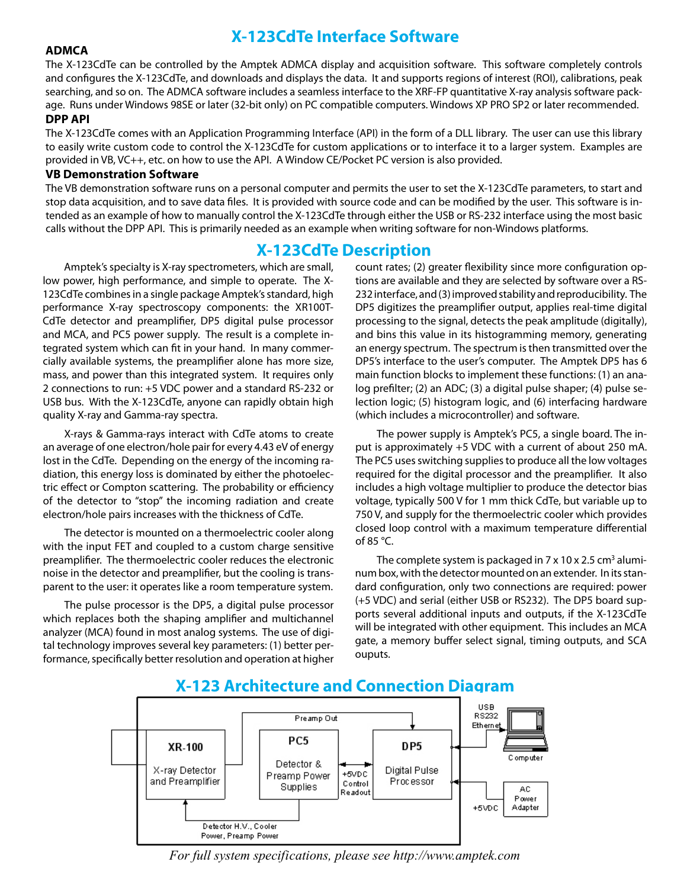## **X-123CdTe Interface Software**

#### **ADMCA**

The X-123CdTe can be controlled by the Amptek ADMCA display and acquisition software. This software completely controls and configures the X-123CdTe, and downloads and displays the data. It and supports regions of interest (ROI), calibrations, peak searching, and so on. The ADMCA software includes a seamless interface to the XRF-FP quantitative X-ray analysis software package. Runs under Windows 98SE or later (32-bit only) on PC compatible computers. Windows XP PRO SP2 or later recommended.

#### **DPP API**

The X-123CdTe comes with an Application Programming Interface (API) in the form of a DLL library. The user can use this library to easily write custom code to control the X-123CdTe for custom applications or to interface it to a larger system. Examples are provided in VB, VC++, etc. on how to use the API. A Window CE/Pocket PC version is also provided.

#### **VB Demonstration Software**

The VB demonstration software runs on a personal computer and permits the user to set the X-123CdTe parameters, to start and stop data acquisition, and to save data files. It is provided with source code and can be modified by the user. This software is intended as an example of how to manually control the X-123CdTe through either the USB or RS-232 interface using the most basic calls without the DPP API. This is primarily needed as an example when writing software for non-Windows platforms.

#### **X-123CdTe Description**

Amptek's specialty is X-ray spectrometers, which are small, low power, high performance, and simple to operate. The X-123CdTe combines in a single package Amptek's standard, high performance X-ray spectroscopy components: the XR100T-CdTe detector and preamplifier, DP5 digital pulse processor and MCA, and PC5 power supply. The result is a complete integrated system which can fit in your hand. In many commercially available systems, the preamplifier alone has more size, mass, and power than this integrated system. It requires only 2 connections to run: +5 VDC power and a standard RS-232 or USB bus. With the X-123CdTe, anyone can rapidly obtain high quality X-ray and Gamma-ray spectra.

 X-rays & Gamma-rays interact with CdTe atoms to create an average of one electron/hole pair for every 4.43 eV of energy lost in the CdTe. Depending on the energy of the incoming radiation, this energy loss is dominated by either the photoelectric effect or Compton scattering. The probability or efficiency of the detector to "stop" the incoming radiation and create electron/hole pairs increases with the thickness of CdTe.

 The detector is mounted on a thermoelectric cooler along with the input FET and coupled to a custom charge sensitive preamplifier. The thermoelectric cooler reduces the electronic noise in the detector and preamplifier, but the cooling is transparent to the user: it operates like a room temperature system.

 The pulse processor is the DP5, a digital pulse processor which replaces both the shaping amplifier and multichannel analyzer (MCA) found in most analog systems. The use of digital technology improves several key parameters: (1) better performance, specifically better resolution and operation at higher

count rates; (2) greater flexibility since more configuration options are available and they are selected by software over a RS-232 interface, and (3) improved stability and reproducibility. The DP5 digitizes the preamplifier output, applies real-time digital processing to the signal, detects the peak amplitude (digitally), and bins this value in its histogramming memory, generating an energy spectrum. The spectrum isthen transmitted over the DP5's interface to the user's computer. The Amptek DP5 has 6 main function blocks to implement these functions: (1) an analog prefilter; (2) an ADC; (3) a digital pulse shaper; (4) pulse selection logic; (5) histogram logic, and (6) interfacing hardware (which includes a microcontroller) and software.

 The power supply is Amptek's PC5, a single board. The input is approximately +5 VDC with a current of about 250 mA. The PC5 uses switching supplies to produce all the low voltages required for the digital processor and the preamplifier. It also includes a high voltage multiplier to produce the detector bias voltage, typically 500 V for 1 mm thick CdTe, but variable up to 750 V, and supply for the thermoelectric cooler which provides closed loop control with a maximum temperature differential of 85 °C.

The complete system is packaged in  $7 \times 10 \times 2.5$  cm<sup>3</sup> aluminum box, with the detector mounted on an extender. In its standard configuration, only two connections are required: power (+5 VDC) and serial (either USB or RS232). The DP5 board supports several additional inputs and outputs, if the X-123CdTe will be integrated with other equipment. This includes an MCA gate, a memory buffer select signal, timing outputs, and SCA ouputs.



#### **X-123 Architecture and Connection Diagram**

*For full system specifications, please see http://www.amptek.com*